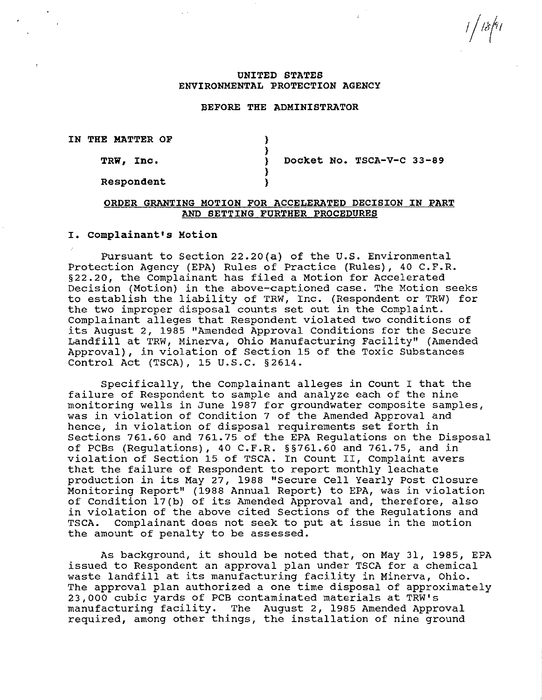| 18|91

#### **UNITED STATES ENVIRONMENTAL PROTECTION AGENCY**

# **BEFORE THE ADMINISTRATOR**

} }

} }

**IN THE MATTER OF** 

**TRW, Inc.** 

} **Docket No. TSCA-V-C 33-89** 

# **Respondent**

## **ORDER GRANTING MOTION FOR ACCELERATED DECISION IN PART AND SETTING FURTHER PROCEDURES**

# **I. Complainant's Motion**

Pursuant to Section 22.20(a) of the U.S. Environmental Protection Agency (EPA) Rules of Practice (Rules), 40 C.F.R. §22.20, the Complainant has filed a Motion for Accelerated Decision (Motion) in the above-captioned case. The Motion seeks to establish the liability of TRW, Inc. (Respondent or TRW) for the two improper disposal counts set out in the Complaint. Complainant alleges that Respondent violated two conditions of its August 2, 1985 "Amended Approval Conditions for the Secure Landfill at TRW, Minerva, Ohio Manufacturing Facility" (Amended Approval), in violation of Section 15 of the Toxic Substances Control Act (TSCA), 15 U.S.C. §2614.

Specifically, the Complainant alleges in count I that the failure of Respondent to sample and analyze each of the nine monitoring wells in June 1987 for groundwater composite samples, was in violation of Condition 7 of the Amended Approval and hence, in violation of disposal requirements set forth in Sections 761.60 and 761.75 of the EPA Regulations on the Disposal of PCBs (Regulations), 40 C.F.R. §§761.60 and 761.75, and in violation of Section 15 of TSCA. In Count II, Complaint avers that the failure of Respondent to report monthly leachate production in its May 27, 1988 "Secure Cell Yearly Post Closure Monitoring Report" (1988 Annual Report) to EPA, was in violation of Condition l7(b) of its Amenqed Approval and, therefore, also in violation of the above cited Sections of the Regulations and<br>TSCA. Complainant does not seek to put at issue in the motion Complainant does not seek to put at issue in the motion the amount of penalty to be assessed.

As background, it should be noted that, on May 31, 1985, EPA issued to Respondent an approval plan under TSCA for a chemical waste landfill at its manufacturing facility in Minerva, Ohio. The approval plan authorized a one time disposal of approximately 23,000 cubic yards of PCB contaminated materials at TRW's manufacturing facility. The August 2, 1985 Amended Approval required, among other things, the installation of nine ground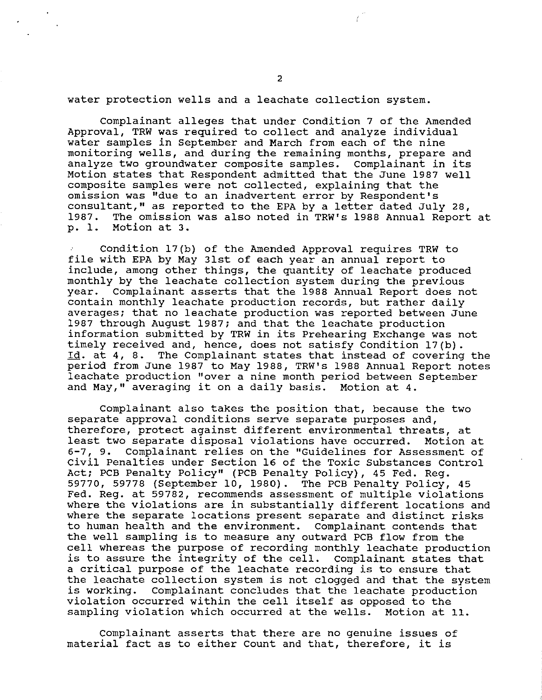water protection wells and a leachate collection system.

Complainant alleges that under Condition 7 of the Amended Approval, TRW was required to collect and analyze individual water samples in September and March from each of the nine monitoring wells, and during the remaining months, prepare and analyze two groundwater composite samples. Complainant in its Motion states that Respondent admitted that the June 1987 well composite samples were not collected, explaining that the omission was "due to an inadvertent error by Respondent's consultant," as reported to the EPA by a letter dated July 28,<br>1987. The omission was also noted in TRW's 1988 Annual Report The omission was also noted in TRW's 1988 Annual Report at p. 1. Motion at 3.

Condition 17(b) of the Amended Approval requires TRW to file with EPA by May 31st of each year an annual report to include, among other things, the quantity of leachate produced monthly by the leachate collection system during the previous year. complainant asserts that the 1988 Annual Report does not contain monthly leachate production records, but rather daily averages; that no leachate production was reported between June 1987 through August 1987; and that the leachate production information submitted by TRW in its Prehearing Exchange was not timely received and, hence, does not satisfy Condition 17(b). Id. at 4, 8. The Complainant states that instead of covering the period from June 1987 to May 1988, TRW's 1988 Annual Report notes leachate production "over a nine month period between September and May," averaging it on a daily basis. Motion at 4.

Complainant also takes the position that, because the two separate approval conditions serve separate purposes and, therefore, protect against different environmental threats, at<br>least two separate disposal violations have occurred. Motion at least two separate disposal violations have occurred. 6-7, 9. Complainant relies on the "Guidelines for Assessment of Civil Penalties under Section 16 of the Toxic Substances Control Act; PCB Penalty Policy" (PCB Penalty Policy), 45 Fed. Reg. 59770, 59778 (September 10, 1980). The PCB Penalty Policy, 45 Fed. Reg. at 59782, recommends assessment of multiple violations where the violations are in substantially different locations and where the separate locations present separate and distinct risks to human health and the environment. Complainant contends that the well sampling is to measure any outward PCB flow from the cell whereas the purpose of recording monthly leachate production is to assure the integrity of the cell. Complainant states that a critical purpose of the leachate recording is to ensure that the leachate collection system is not clogged and that the system<br>is working. Complainant concludes that the leachate production Complainant concludes that the leachate production violation occurred within the cell itself as opposed to the sampling violation which occurred at the wells. Motion at 11.

Complainant asserts that there are no genuine issues of material fact as to either Count and that, therefore, it is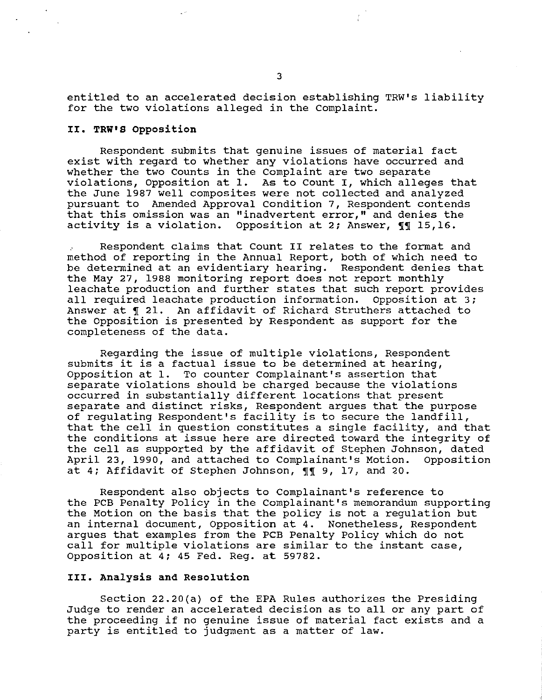entitled to an accelerated decision establishing TRW's liability for the two violations alleged in the Complaint.

# II. TRW'S Opposition

Respondent submits that genuine issues of material fact exist with regard to whether any violations have occurred and whether the two Counts in the Complaint are two separate violations, Opposition at 1. As to Count I, which alleges that the June 1987 well composites were not collected and analyzed pursuant to Amended Approval Condition 7, Respondent contends that this omission was an "inadvertent error," and denies the activity is a violation. Opposition at 2; Answer,  $\P\P$  15,16.

Respondent claims that Count II relates to the format and method of reporting in the Annual Report, both of which need to be determined at an evidentiary hearing. Respondent denies that the May 27, 1988 monitoring report does not report monthly leachate production and further states that such report provides<br>all required leachate production information. Opposition at 3; all required leachate production information. Answer at  $\P$  21. An affidavit of Richard Struthers attached to the Opposition is presented by Respondent as support for the completeness of the data.

Regarding the issue of multiple violations, Respondent submits it is a factual issue to be determined at hearing, Opposition at 1. To counter Complainant's assertion that separate violations should be charged because the violations occurred in substantially different locations that present separate and distinct risks, Respondent argues that the purpose of regulating Respondent's facility is to secure the landfill, that the cell in question constitutes a single facility, and that the conditions at issue here are directed toward the integrity of the cell as supported by the affidavit of Stephen Johnson, dated<br>April 23, 1990, and attached to Complainant's Motion. Opposition April 23, 1990, and attached to Complainant's Motion. at 4; Affidavit of Stephen Johnson,  $\P\P$  9, 17, and 20.

Respondent also objects to Complainant's reference to the PCB Penalty Policy in the Complainant's memorandum supporting the Motion on the basis that the policy is not a regulation but an internal document, Opposition at 4. Nonetheless, Respondent argues that examples from the PCB Penalty Policy which do not call for multiple violations are similar to the instant case, Opposition at 4; 45 Fed. Reg. at 59782.

#### III. Analysis and Resolution

Section 22.20(a) of the EPA Rules authorizes the Presiding Judge to render an accelerated decision as to all or any part of the proceeding if no genuine issue of material fact exists and a party is entitled to judgment as a matter of law.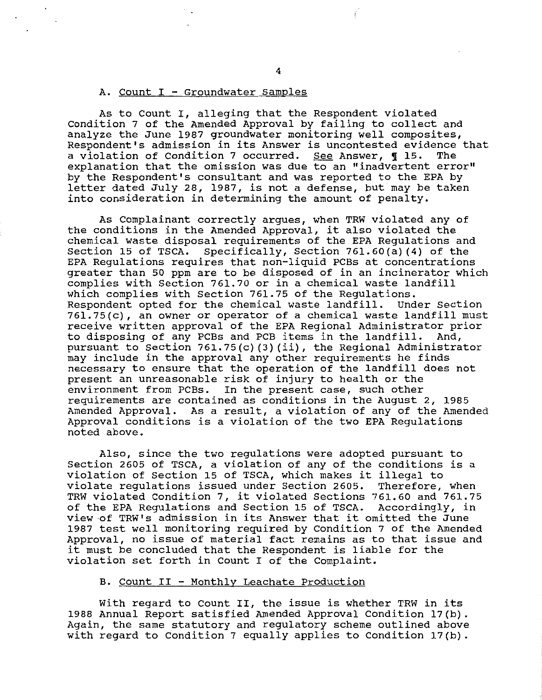#### A. Count I - Groundwater Samples

As to Count I, alleging that the Respondent violated Condition 7 of the Amended Approval by failing to collect and analyze the June 1987 groundwater monitoring well composites, Respondent's admission in its Answer is uncontested evidence that<br>a violation of Condition 7 occurred. See Answer, 115. The a violation of Condition 7 occurred. See Answer,  $\int$  15. explanation that the omission was due to an "inadvertent error" by the Respondent's consultant and was reported to the EPA by letter dated July 28, 1987, is not a defense, but may be taken into consideration in determining the amount of penalty.

As Complainant correctly argues, when TRW violated any of the conditions in the Amended Approval, it also violated the chemical waste disposal requirements of the EPA Regulations and Section 15 of TSCA. Specifically, Section 761.60(a) (4) of the EPA Regulations requires that non-liquid PCBs at concentrations greater than 50 ppm are to be disposed of in an incinerator which complies with section 761.70 or in a chemical waste landfill which complies with Section 761.75 of the Regulations.<br>Respondent opted for the chemical waste landfill. Under Section Respondent opted for the chemical waste landfill. 761.75(c), an owner or operator of a chemical waste landfill must receive written approval of the EPA Regional Administrator prior to disposing of any PCBs and PCB items in the landfill. And, pursuant to Section 761.75(c) (3) (ii), the Regional Administrator may include in the approval any other requirements he finds necessary to ensure that the operation of the landfill does not present an unreasonable risk of injury to health or the environment from PCBs. In the present case, such other requirements are contained as conditions in the August 2, 1985 Amended Approval. As a result, a violation of any of the Amended Approval conditions is a violation of the two EPA Regulations noted above.

Also, since the two regulations were adopted pursuant to Section 2605 of TSCA, a violation of any of the conditions is a violation of Section 15 of TSCA, which makes it illegal to violate regulations issued under Section 2605. Therefore, when TRW violated Condition 7, it violated Sections 761.60 and 761.75 of the EPA Regulations and Section 15 of TSCA. Accordingly, in view of TRW's admission in its Answer that it omitted the June 1987 test well monitoring required by Condition 7 of the Amended Approval, no issue of material fact remains as to that issue and it must be concluded that the Respondent is liable for the violation set forth in Count I of the Complaint.

# B. Count II - Monthly Leachate Production

With regard to Count II, the issue is whether TRW in its 1988 Annual Report satisfied Amended Approval Condition 17(b). Again, the same statutory and regulatory scheme outlined above with regard to Condition 7 equally applies to Condition  $17(b)$ .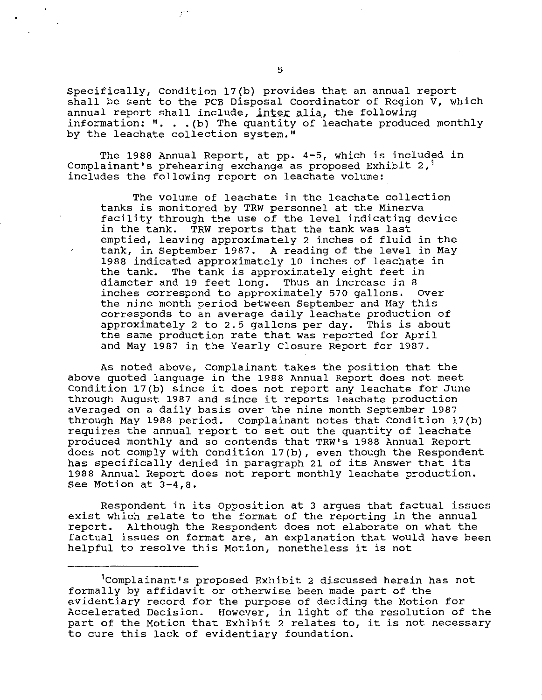Specifically, condition 17(b) provides that an annual report shall be sent to the PCB Disposal Coordinator of Region V, which annual report shall include, inter alia, the following information:  $" . . . (b)$  The quantity of leachate produced monthly by the leachate collection system."

The 1988 Annual Report, at pp. 4-5, which is included in Complainant's prehearing exchange as proposed Exhibit  $2,$ <sup>1</sup> includes the following report on leachate volume:

The volume of leachate in the leachate collection tanks is monitored by TRW personnel at the Minerva facility through the use of the level indicating device in the tank. TRW reports that the tank was last emptied, leaving approximately 2 inches of fluid in the tank, in September 1987. A reading of the level in May 1988 indicated approximately 10 inches of leachate in the tank. The tank is approximately eight feet in diameter and 19 feet long. Thus an increase in 8<br>inches correspond to approximately 570 gallons. Over inches correspond to approximately 570 gallons. the nine month period between September and May this corresponds to an average daily leachate production of approximately 2 to 2.5 gallons per day. This is about the same production rate that was reported for April and May 1987 in the Yearly Closure Report for 1987.

As noted above, Complainant takes the position that the above quoted language in the 1988 Annual Report does not meet Condition 17(b) since it does not report any leachate for June through August 1987 and since it reports leachate production averaged on a daily basis over the nine month September 1987 through May 1988 period. complainant notes that Condition 17(b) requires the annual report to set out the quantity of leachate produced monthly and so contends that TRW's 1988 Annual Report does not comply with Condition 17(b), even though the Respondent has specifically denied in paragraph 21 of its Answer that its 1988 Annual Report does not report monthly leachate production. See Motion at 3-4,8.

Respondent in its Opposition at 3 argues that factual issues exist which relate to the format of the reporting in the annual report. Although the Respondent does not elaborate on what the factual issues on format are, an explanation that would have been helpful to resolve this Motion, nonetheless it is not

<sup>1</sup>complainant's proposed Exhibit 2 discussed herein has not formally by affidavit or otherwise been made part of the evidentiary record for the purpose of deciding the Motion for Accelerated Decision. However, in light of the resolution of the part of the Motion that Exhibit 2 relates to, it is not necessary to cure this lack of evidentiary foundation.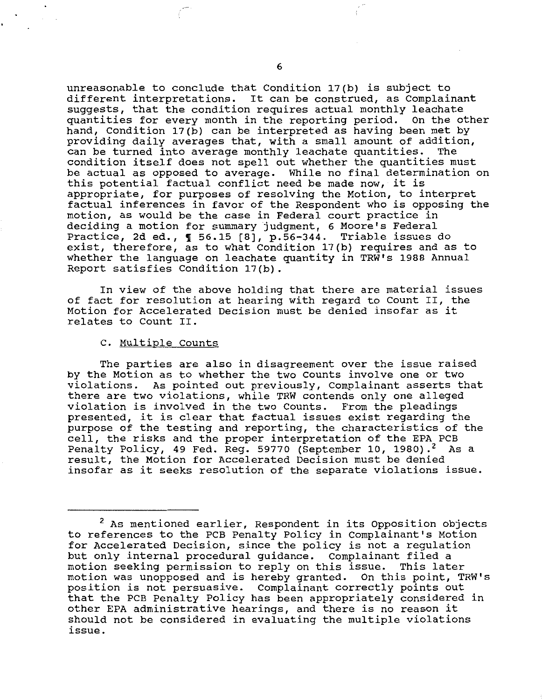unreasonable to conclude that Condition 17(b) is subject to different interpretations. It can be construed, as Complainant suggests, that the condition requires actual monthly leachate quantities for every month *in* the reporting period. On the other hand, Condition 17(b) can be interpreted as having been met by providing daily averages that, with a small amount of addition,<br>can be turned into average monthly leachate quantities. The can be turned into average monthly leachate quantities. condition itself does not spell out whether the quantities must be actual as opposed to average. While no final determination on this potential factual conflict need be made now, it is appropriate, for purposes of resolving the Motion, to interpret factual inferences in favor of the Respondent who is opposing the motion, as would be the case *in* Federal court practice in deciding a motion for summary judgment, 6 Moore's Federal Practice, 2d ed., 1 56.15 [8], p.56-344. Triable issues do exist, therefore, as to what Condition 17(b) requires and as to whether the language on leachate quantity in TRW's 1988 Annual Report satisfies Condition 17(b).

In view of the above holding that there are material issues of fact for resolution at hearing with regard to Count II, the Motion for Accelerated Decision must be denied insofar as it relates to Count II.

### C. Multiple Counts

The parties are also in disagreement over the issue raised by the Motion as to whether the two Counts involve one or two violations. As pointed out previously, Complainant asserts that there are two violations, while TRW contends only one alleged violation is involved *in* the two Counts. From the pleadings presented, it is clear that factual issues exist regarding the purpose of the testing and reporting, the characteristics of the parpose of the testing and reporting, the endlestributes of Penalty Policy, 49 Fed. Reg. 59770 (September 10, 1980).<sup>2</sup> As a result, the Motion for Accelerated Decision must be denied insofar as it seeks resolution of the separate violations issue.

<sup>2</sup> As mentioned earlier, Respondent *in* its Opposition objects to references to the PCB Penalty Policy in Complainant's Motion for Accelerated Decision, since the policy is not a regulation but only internal procedural guidance. Complainant filed a motion seeking permission to reply on this issue. This later motion was unopposed and is hereby granted. On this point, TRW's position is not persuasive. Complainant correctly points out that the PCB Penalty Policy has been appropriately considered in other EPA administrative hearings, and there is no reason it should not be considered in evaluating the multiple violations issue.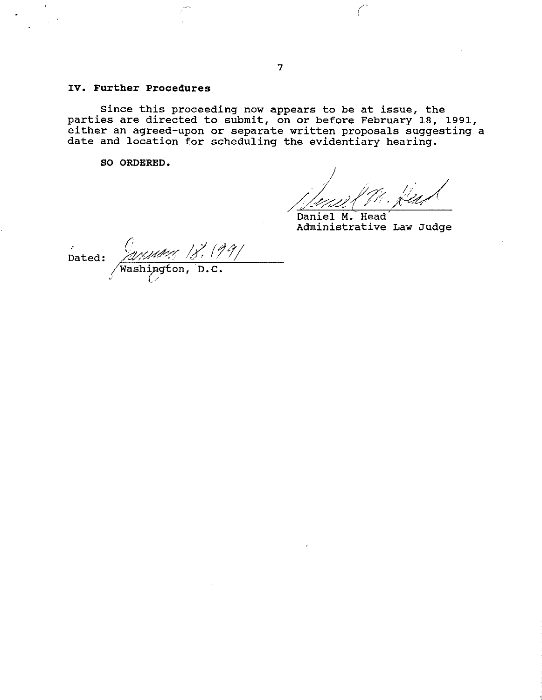# **IV. Further Procedures**

Since this proceeding now appears to be at issue, the parties are directed to submit, on or before February 18, 1991, either an agreed-upon or separate written proposals suggesting a date and location for scheduling the evidentiary hearing.

**SO ORDERED.** 

Daniel **M.** Head' Administrative Law Judge

Dated: 2010/11/11 /8. (99/  $\sqrt{}$ Washi $\bm{\mathop{p}\nolimits}$ g $\bm{\mathop{t}\nolimits}$ on, \/ *e,/*  **·n. c.**